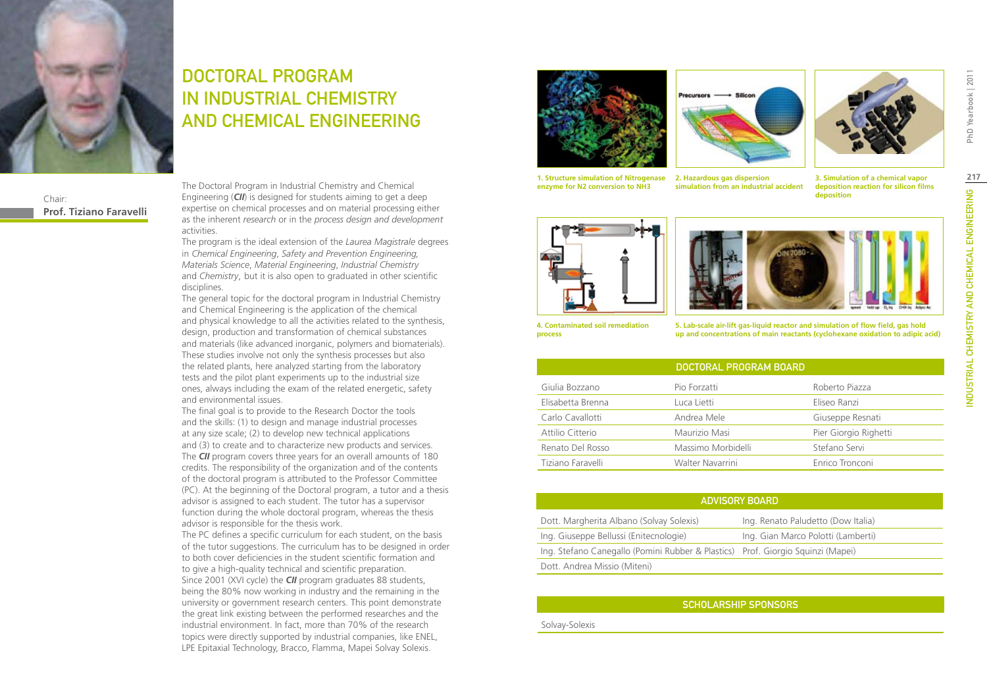

### Chair: **Prof. Tiziano Faravelli**

DOCTORAL PROGRAM IN INDUSTRIAL CHEMISTRY AND CHEMICAL ENGINEERING

The Doctoral Program in Industrial Chemistry and Chemical Engineering (*CII*) is designed for students aiming to get a deep expertise on chemical processes and on material processing either as the inherent *research* or in the *process design and development*  activities.

The program is the ideal extension of the *Laurea Magistrale* degrees in *Chemical Engineering*, *Safety and Prevention Engineering, Materials Science*, *Material Engineering*, *Industrial Chemistry* and *Chemistry*, but it is also open to graduated in other scientific disciplines.

The general topic for the doctoral program in Industrial Chemistry and Chemical Engineering is the application of the chemical and physical knowledge to all the activities related to the synthesis, design, production and transformation of chemical substances and materials (like advanced inorganic, polymers and biomaterials). These studies involve not only the synthesis processes but also the related plants, here analyzed starting from the laboratory tests and the pilot plant experiments up to the industrial size ones, always including the exam of the related energetic, safety and environmental issues.

The final goal is to provide to the Research Doctor the tools and the skills: (1) to design and manage industrial processes at any size scale; (2) to develop new technical applications and (3) to create and to characterize new products and services. The *CII* program covers three years for an overall amounts of 180 credits. The responsibility of the organization and of the contents of the doctoral program is attributed to the Professor Committee (PC). At the beginning of the Doctoral program, a tutor and a thesis advisor is assigned to each student. The tutor has a supervisor function during the whole doctoral program, whereas the thesis advisor is responsible for the thesis work.

The PC defines a specific curriculum for each student, on the basis of the tutor suggestions. The curriculum has to be designed in order to both cover deficiencies in the student scientific formation and to give a high-quality technical and scientific preparation. Since 2001 (XVI cycle) the *CII* program graduates 88 students, being the 80% now working in industry and the remaining in the university or government research centers. This point demonstrate the great link existing between the performed researches and the industrial environment. In fact, more than 70% of the research topics were directly supported by industrial companies, like ENEL, LPE Epitaxial Technology, Bracco, Flamma, Mapei Solvay Solexis.





**simulation from an industrial accident**



**1. Structure simulation of Nitrogenase 2. Hazardous gas dispersion** 

**3. Simulation of a chemical vapor deposition reaction for silicon films deposition**



**enzyme for N2 conversion to NH3**



**4. Contaminated soil remediation process**

**5. Lab-scale air-lift gas-liquid reactor and simulation of flow field, gas hold up and concentrations of main reactants (cyclohexane oxidation to adipic acid)**

|                   | DOCTORAL PROGRAM BOARD |                       |
|-------------------|------------------------|-----------------------|
| Giulia Bozzano    | Pio Forzatti           | Roberto Piazza        |
| Elisabetta Brenna | Luca Lietti            | Eliseo Ranzi          |
| Carlo Cavallotti  | Andrea Mele            | Giuseppe Resnati      |
| Attilio Citterio  | Maurizio Masi          | Pier Giorgio Righetti |
| Renato Del Rosso  | Massimo Morbidelli     | Stefano Servi         |
| Tiziano Faravelli | Walter Navarrini       | Enrico Tronconi       |

| <b>ADVISORY BOARD</b>                                                           |                                    |  |  |
|---------------------------------------------------------------------------------|------------------------------------|--|--|
| Dott. Margherita Albano (Solvay Solexis)                                        | Ing. Renato Paludetto (Dow Italia) |  |  |
| Ing. Giuseppe Bellussi (Enitecnologie)                                          | Ing. Gian Marco Polotti (Lamberti) |  |  |
| Ing. Stefano Canegallo (Pomini Rubber & Plastics) Prof. Giorgio Squinzi (Mapei) |                                    |  |  |
| Dott. Andrea Missio (Miteni)                                                    |                                    |  |  |

### Scholarship Sponsors

Solvay-Solexis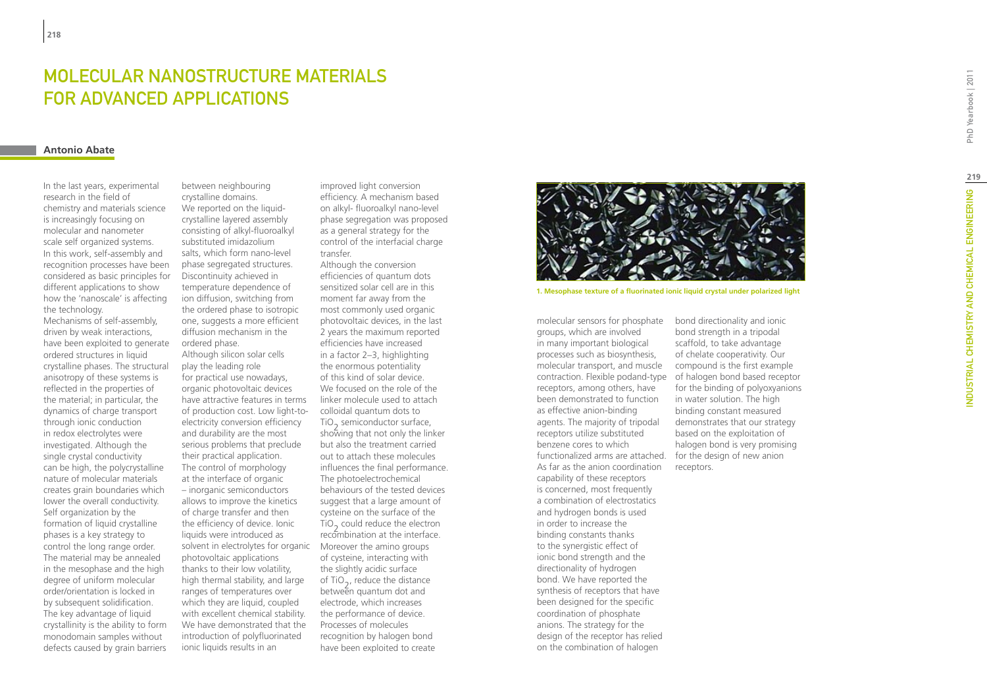# MOLECULAR NANOSTRUCTURE MATERIALS FOR AD VANCED APPLICATIONS

### **Antonio Abate**

In the last years, experimental research in the field of chemistry and materials science is increasingly focusing on molecular and nanometer scale self organized systems. In this work, self-assembly and recognition processes have been considered as basic principles for different applications to show how the 'nanoscale' is affecting the technology.

Mechanisms of self-assembly, driven by weak interactions, have been exploited to generate ordered structures in liquid crystalline phases. The structural anisotropy of these systems is reflected in the properties of the material; in particular, the dynamics of charge transport through ionic conduction in redox electrolytes were investigated. Although the single crystal conductivity can be high, the polycrystalline nature of molecular materials creates grain boundaries which lower the overall conductivity. Self organization by the formation of liquid crystalline phases is a key strategy to control the long range order. The material may be annealed in the mesophase and the high degree of uniform molecular order/orientation is locked in by subsequent solidification. The key advantage of liquid crystallinity is the ability to form monodomain samples without defects caused by grain barriers

solvent in electrolytes for organic Moreover the amino groups between neighbouring crystalline domains. We reported on the liquidcrystalline layered assembly consisting of alkyl-fluoroalkyl substituted imidazolium salts, which form nano-level phase segregated structures. Discontinuity achieved in temperature dependence of ion diffusion, switching from the ordered phase to isotropic one, suggests a more efficient diffusion mechanism in the ordered phase. Although silicon solar cells play the leading role for practical use nowadays, organic photovoltaic devices have attractive features in terms of production cost. Low light-toelectricity conversion efficiency and durability are the most serious problems that preclude their practical application. The control of morphology at the interface of organic – inorganic semiconductors allows to improve the kinetics of charge transfer and then the efficiency of device. Ionic liquids were introduced as photovoltaic applications thanks to their low volatility, high thermal stability, and large ranges of temperatures over which they are liquid, coupled with excellent chemical stability. We have demonstrated that the introduction of polyfluorinated ionic liquids results in an

improved light conversion efficiency. A mechanism based on alkyl- fluoroalkyl nano-level phase segregation was proposed as a general strategy for the control of the interfacial charge transfer.

Although the conversion efficiencies of quantum dots sensitized solar cell are in this moment far away from the most commonly used organic photovoltaic devices, in the last 2 years the maximum reported efficiencies have increased in a factor 2–3, highlighting the enormous potentiality of this kind of solar device. We focused on the role of the linker molecule used to attach colloidal quantum dots to TiO<sub>2</sub> semiconductor surface,<br>shou ing that not anly the link showing that not only the linker but also the treatment carried out to attach these molecules influences the final performance. The photoelectrochemical behaviours of the tested devices suggest that a large amount of cysteine on the surface of the TiO<sub>2</sub> could reduce the electron recombination at the interface. of cysteine, interacting with the slightly acidic surface of  $TiO<sub>2</sub>$ , reduce the distance between quantum dot and electrode, which increases the performance of device. Processes of molecules recognition by halogen bond have been exploited to create



**1. Mesophase texture of a fluorinated ionic liquid crystal under polarized light**

contraction. Flexible podand-type of halogen bond based receptor molecular sensors for phosphate groups, which are involved in many important biological processes such as biosynthesis, molecular transport, and muscle receptors, among others, have been demonstrated to function as effective anion-binding agents. The majority of tripodal receptors utilize substituted benzene cores to which functionalized arms are attached. As far as the anion coordination capability of these receptors is concerned, most frequently a combination of electrostatics and hydrogen bonds is used in order to increase the binding constants thanks to the synergistic effect of ionic bond strength and the directionality of hydrogen bond. We have reported the synthesis of receptors that have been designed for the specific coordination of phosphate anions. The strategy for the design of the receptor has relied on the combination of halogen

bond directionality and ionic bond strength in a tripodal scaffold, to take advantage of chelate cooperativity. Our compound is the first example for the binding of polyoxyanions in water solution. The high binding constant measured demonstrates that our strategy based on the exploitation of halogen bond is very promising for the design of new anion receptors.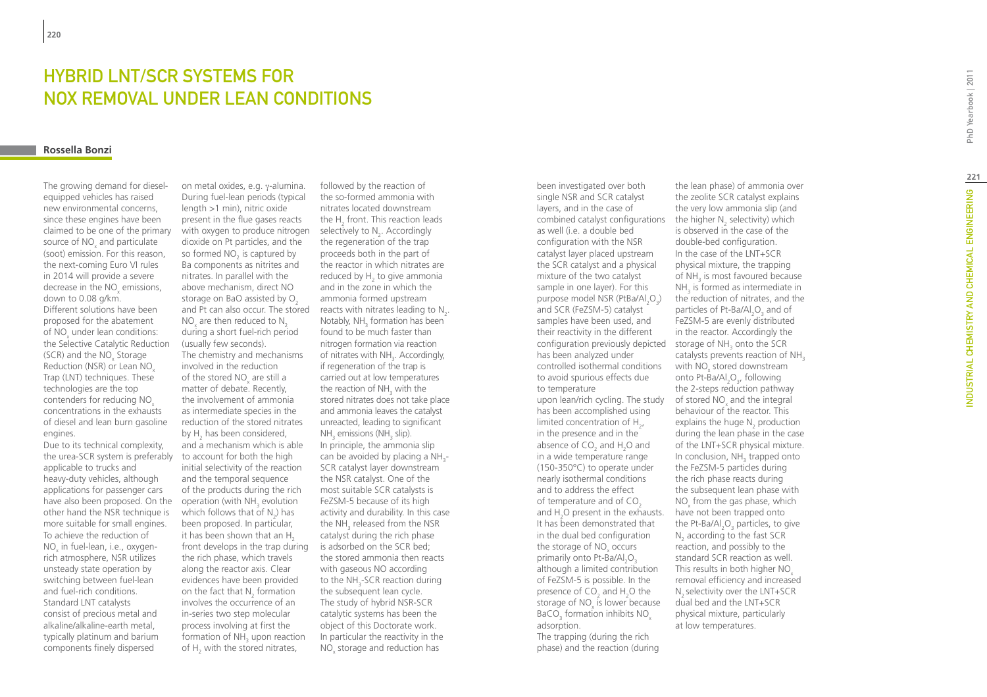# HYBRID LNT/SCR SYSTEMS FOR NOX REMO VAL UNDER LEAN CONDITIONS

#### **Rossella Bonzi**

The growing demand for dieselequipped vehicles has raised new environmental concerns, since these engines have been claimed to be one of the primary source of NO<sub>z</sub> and particulate x (soot) emission. For this reason, the next-coming Euro VI rules in 2014 will provide a severe decrease in the NO emissions,  $\frac{1}{x}$  down to 0.08 g/km. Different solutions have been proposed for the abatement of NO under lean conditions: of the Selective Catalytic Reduction (SCR) and the NO<sub>x</sub> Storage Reduction (NSR) or Lean NO x Trap (LNT) techniques. These technologies are the top contenders for reducing NO x concentrations in the exhausts of diesel and lean burn gasoline engines.

Due to its technical complexity, the urea-SCR system is preferably applicable to trucks and heavy-duty vehicles, although applications for passenger cars have also been proposed. On the other hand the NSR technique is more suitable for small engines. To achieve the reduction of NO x in fuel-lean, i.e., oxygenrich atmosphere, NSR utilizes unsteady state operation by switching between fuel-lean and fuel-rich conditions. Standard LNT catalysts consist of precious metal and alkaline/alkaline-earth metal, typically platinum and barium components finely dispersed

on metal oxides, e.g. γ-alumina. During fuel-lean periods (typical length >1 min), nitric oxide present in the flue gases reacts with oxygen to produce nitrogen dioxide on Pt particles, and the so formed NO<sub>2</sub> is captured by Ba components as nitrites and nitrates. In parallel with the above mechanism, direct NO storage on BaO assisted by O NO are then reduced to N  $\frac{1}{2}$  are then reduced to  $\frac{1}{2}$ <br>during a short fuel-rich period (usually few seconds). The chemistry and mechanisms involved in the reduction of the stored  $NO<sub>x</sub>$  are still a or the stated  $\overline{\mathcal{X}}$  are started in the involvement of ammonia as intermediate species in the reduction of the stored nitrates by H has been considered, 2 and a mechanism which is able to account for both the high initial selectivity of the reaction and the temporal sequence of the products during the rich operation (with NH<sub>3</sub> evolution which follows that of  $N_2$ ) has been proposed. In particular, it has been shown that an H  $\frac{1}{2}$  front develops in the trap during the rich phase, which travels along the reactor axis. Clear evidences have been provided on the fact that  $N_2$  formation involves the occurrence of an in-series two step molecular process involving at first the formation of NH<sub>3</sub> upon reaction of  $H_2$  with the stored nitrates,

and Pt can also occur. The stored reacts with nitrates leading to  $N_2$ . followed by the reaction of the so-formed ammonia with nitrates located downstream the H front. This reaction leads selectively to  $N_2$ . Accordingly the regeneration of the trap proceeds both in the part of the reactor in which nitrates are reduced by  $H<sub>2</sub>$  to give ammonia  $2^{12}$  and in the zone in which the ammonia formed upstream Notably, NH formation has been  $\frac{1}{3}$  for the set of the much faster than nitrogen formation via reaction of nitrates with NH . Accordingly, If regeneration of the trap is carried out at low temperatures the reaction of  $NH<sub>3</sub>$  with the stored nitrates does not take place and ammonia leaves the catalyst unreacted, leading to significant  $NH<sub>3</sub>$  emissions (NH $<sub>3</sub>$  slip).</sub> In principle, the ammonia slip can be avoided by placing a NH 3 - SCR catalyst layer downstream the NSR catalyst. One of the most suitable SCR catalysts is FeZSM-5 because of its high activity and durability. In this case the NH 3 released from the NSR catalyst during the rich phase is adsorbed on the SCR bed; the stored ammonia then reacts with gaseous NO according to the NH -SCR reaction during the subsequent lean cycle. The study of hybrid NSR-SCR catalytic systems has been the object of this Doctorate work. In particular the reactivity in the NO x storage and reduction has

been investigated over both single NSR and SCR catalyst layers, and in the case of combined catalyst configurations the higher N selectivity) which as well (i.e. a double bed configuration with the NSR catalyst layer placed upstream the SCR catalyst and a physical mixture of the two catalyst sample in one layer). For this purpose model NSR (PtBa/Al<sub>2</sub>O<sub>3</sub>) and SCR (FeZSM-5) catalyst samples have been used, and their reactivity in the different configuration previously depicted storage of  $NH<sub>3</sub>$  onto the SCR has been analyzed under controlled isothermal conditions to avoid spurious effects due to temperature upon lean/rich cycling. The study has been accomplished using limited concentration of  $H_{2}$ ,  $\frac{1}{2}$  in the presence and in the absence of CO and H O and  $25$  and  $1.2$  and  $20$  and  $20$  and  $20$  and  $20$  and  $20$  and  $20$  and  $20$  and  $20$  and  $20$  and  $20$  and  $20$  and  $20$  and  $20$  and  $20$  and  $20$  and  $20$  and  $20$  and  $20$  and  $20$  and  $20$  and  $20$  and  $20$  and  $20$ (150-350°C) to operate under nearly isothermal conditions and to address the effect of temperature and of CO and  $H_2O$  present in the exhausts. It has been demonstrated that in the dual bed configuration the storage of NO<sub>x</sub> occurs primarily onto Pt-Ba/Al O although a limited contribution of FeZSM-5 is possible. In the presence of CO<sub>2</sub> and H<sub>2</sub>O the storage of  $NO_x$  is lower because BaCO<sub>3</sub> formation inhibits  $NO_x$ adsorption.

The trapping (during the rich phase) and the reaction (during

the lean phase) of ammonia over the zeolite SCR catalyst explains the very low ammonia slip (and is observed in the case of the double-bed configuration. In the case of the LNT+SCR physical mixture, the trapping of NH is most favoured because  $NH<sub>3</sub>$  is formed as intermediate in the reduction of nitrates, and the particles of Pt-Ba/Al<sub>2</sub>O<sub>3</sub> and of FeZSM-5 are evenly distributed in the reactor. Accordingly the catalysts prevents reaction of  $NH<sub>3</sub>$ with NO<sub>x</sub> stored downstream onto Pt- $\hat{B}a/Al_2O_3$ , following the 2-steps reduction pathway of stored  $NO<sub>x</sub>$  and the integral x behaviour of the reactor. This explains the huge N<sub>2</sub> production  $\alpha$  during the lean phase in the case of the LNT+SCR physical mixture. In conclusion, NH<sub>3</sub> trapped onto the FeZSM-5 particles during the rich phase reacts during the subsequent lean phase with NO from the gas phase, which have not been trapped onto the Pt-Ba/Al<sub>2</sub>O<sub>3</sub> particles, to give  $N<sub>2</sub>$  according to the fast SCR  $\frac{1}{2}$  according to the rast sent standard SCR reaction as well. This results in both higher NO removal efficiency and increased N<sub>2</sub> selectivity over the LNT+SCR dual bed and the LNT+SCR physical mixture, particularly at low temperatures.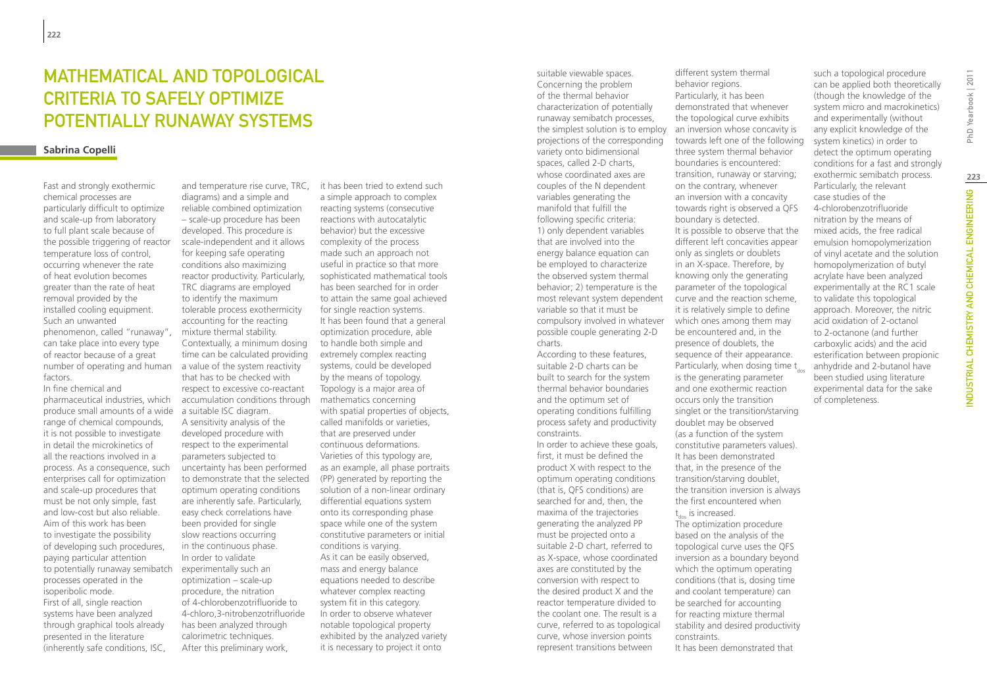# MATHEMATICAL AND TOPOLOGICAL CRITERIA TO SAFELY OPTIMIZE POTENTIALLY RUNAWAY SYSTEMS

### **Sabrina Copelli**

Fast and strongly exothermic chemical processes are particularly difficult to optimize and scale-up from laboratory to full plant scale because of the possible triggering of reactor temperature loss of control, occurring whenever the rate of heat evolution becomes greater than the rate of heat removal provided by the installed cooling equipment. Such an unwanted phenomenon, called "runaway", can take place into every type of reactor because of a great number of operating and human factors.

In fine chemical and pharmaceutical industries, which produce small amounts of a wide range of chemical compounds, it is not possible to investigate in detail the microkinetics of all the reactions involved in a process. As a consequence, such enterprises call for optimization and scale-up procedures that must be not only simple, fast and low-cost but also reliable. Aim of this work has been to investigate the possibility of developing such procedures, paying particular attention to potentially runaway semibatch processes operated in the isoperibolic mode. First of all, single reaction systems have been analyzed through graphical tools already presented in the literature (inherently safe conditions, ISC,

diagrams) and a simple and reliable combined optimization – scale-up procedure has been developed. This procedure is scale-independent and it allows for keeping safe operating conditions also maximizing reactor productivity. Particularly, TRC diagrams are employed to identify the maximum tolerable process exothermicity accounting for the reacting mixture thermal stability. Contextually, a minimum dosing time can be calculated providing a value of the system reactivity that has to be checked with respect to excessive co-reactant accumulation conditions through a suitable ISC diagram. A sensitivity analysis of the developed procedure with respect to the experimental parameters subjected to uncertainty has been performed to demonstrate that the selected optimum operating conditions are inherently safe. Particularly, easy check correlations have been provided for single slow reactions occurring in the continuous phase. In order to validate experimentally such an optimization – scale-up procedure, the nitration of 4-chlorobenzotrifluoride to 4-chloro,3-nitrobenzotrifluoride has been analyzed through calorimetric techniques. After this preliminary work,

and temperature rise curve, TRC, it has been tried to extend such a simple approach to complex reacting systems (consecutive reactions with autocatalytic behavior) but the excessive complexity of the process made such an approach not useful in practice so that more sophisticated mathematical tools has been searched for in order to attain the same goal achieved for single reaction systems. It has been found that a general optimization procedure, able to handle both simple and extremely complex reacting systems, could be developed by the means of topology. Topology is a major area of mathematics concerning with spatial properties of objects, called manifolds or varieties, that are preserved under continuous deformations. Varieties of this typology are, as an example, all phase portraits (PP) generated by reporting the solution of a non-linear ordinary differential equations system onto its corresponding phase space while one of the system constitutive parameters or initial conditions is varying. As it can be easily observed, mass and energy balance equations needed to describe whatever complex reacting system fit in this category. In order to observe whatever notable topological property exhibited by the analyzed variety it is necessary to project it onto

suitable viewable spaces. Concerning the problem of the thermal behavior characterization of potentially runaway semibatch processes, the simplest solution is to employ projections of the corresponding variety onto bidimensional spaces, called 2-D charts, whose coordinated axes are couples of the N dependent variables generating the manifold that fulfill the following specific criteria: 1) only dependent variables that are involved into the energy balance equation can be employed to characterize the observed system thermal behavior; 2) temperature is the most relevant system dependent variable so that it must be compulsory involved in whatever possible couple generating 2-D charts.

According to these features, suitable 2-D charts can be built to search for the system thermal behavior boundaries and the optimum set of operating conditions fulfilling process safety and productivity constraints.

In order to achieve these goals, first, it must be defined the product X with respect to the optimum operating conditions (that is, QFS conditions) are searched for and, then, the maxima of the trajectories generating the analyzed PP must be projected onto a suitable 2-D chart, referred to as X-space, whose coordinated axes are constituted by the conversion with respect to the desired product X and the reactor temperature divided to the coolant one. The result is a curve, referred to as topological curve, whose inversion points represent transitions between

different system thermal behavior regions. Particularly, it has been demonstrated that whenever the topological curve exhibits an inversion whose concavity is towards left one of the following three system thermal behavior boundaries is encountered: transition, runaway or starving; on the contrary, whenever an inversion with a concavity towards right is observed a QFS boundary is detected. It is possible to observe that the different left concavities appear only as singlets or doublets in an X-space. Therefore, by knowing only the generating parameter of the topological curve and the reaction scheme, it is relatively simple to define which ones among them may be encountered and, in the presence of doublets, the sequence of their appearance. Particularly, when dosing time  $t_{\text{des}}$ is the generating parameter and one exothermic reaction occurs only the transition singlet or the transition/starving doublet may be observed (as a function of the system constitutive parameters values). It has been demonstrated that, in the presence of the transition/starving doublet, the transition inversion is always the first encountered when t dos is increased. The optimization procedure based on the analysis of the

topological curve uses the QFS inversion as a boundary beyond which the optimum operating conditions (that is, dosing time and coolant temperature) can be searched for accounting for reacting mixture thermal stability and desired productivity

It has been demonstrated that

constraints.

such a topological procedure can be applied both theoretically (though the knowledge of the system micro and macrokinetics) and experimentally (without any explicit knowledge of the system kinetics) in order to detect the optimum operating conditions for a fast and strongly exothermic semibatch process. Particularly, the relevant case studies of the 4-chlorobenzotrifluoride nitration by the means of mixed acids, the free radical emulsion homopolymerization of vinyl acetate and the solution homopolymerization of butyl acrylate have been analyzed experimentally at the RC1 scale to validate this topological approach. Moreover, the nitric acid oxidation of 2-octanol to 2-octanone (and further carboxylic acids) and the acid esterification between propionic anhydride and 2-butanol have been studied using literature experimental data for the sake of completeness.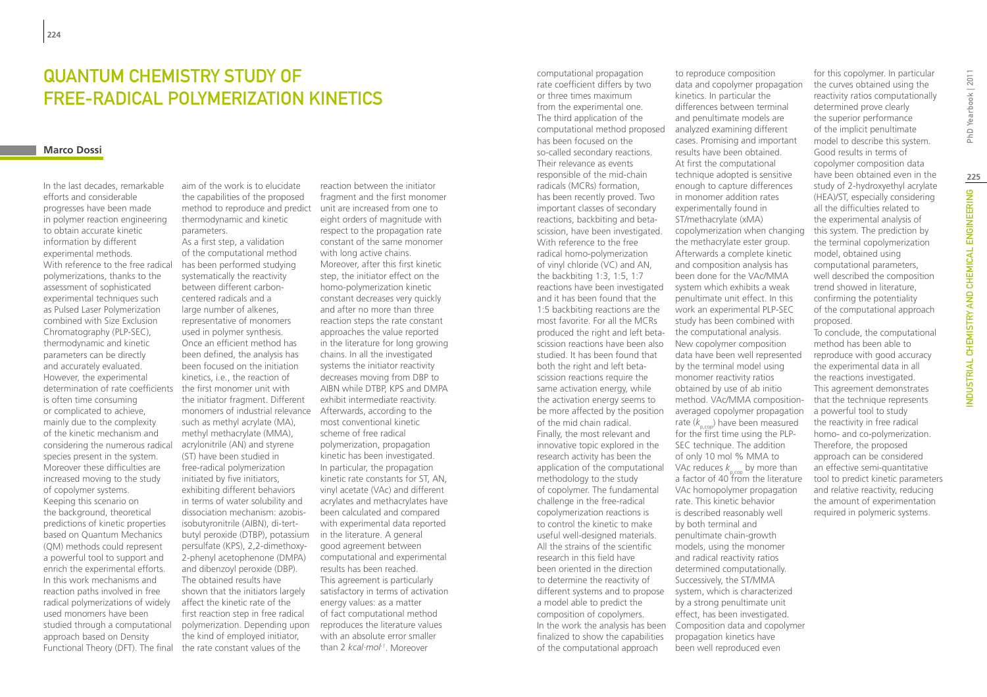## Quantum chemistry study of free-radical polymerization kinetics

#### **Marco Dossi**

In the last decades, remarkable efforts and considerable progresses have been made in polymer reaction engineering to obtain accurate kinetic information by different experimental methods. With reference to the free radical polymerizations, thanks to the assessment of sophisticated experimental techniques such as Pulsed Laser Polymerization combined with Size Exclusion Chromatography (PLP-SEC), thermodynamic and kinetic parameters can be directly and accurately evaluated. However, the experimental determination of rate coefficients is often time consuming or complicated to achieve, mainly due to the complexity of the kinetic mechanism and considering the numerous radical species present in the system. Moreover these difficulties are increased moving to the study of copolymer systems. Keeping this scenario on the background, theoretical predictions of kinetic properties based on Quantum Mechanics (QM) methods could represent a powerful tool to support and enrich the experimental efforts. In this work mechanisms and reaction paths involved in free radical polymerizations of widely used monomers have been studied through a computational approach based on Density

aim of the work is to elucidate the capabilities of the proposed method to reproduce and predict thermodynamic and kinetic parameters. As a first step, a validation

Functional Theory (DFT). The final the rate constant values of the of the computational method has been performed studying systematically the reactivity between different carboncentered radicals and a large number of alkenes, representative of monomers used in polymer synthesis. Once an efficient method has been defined, the analysis has been focused on the initiation kinetics, i.e., the reaction of the first monomer unit with the initiator fragment. Different monomers of industrial relevance such as methyl acrylate (MA), methyl methacrylate (MMA), acrylonitrile (AN) and styrene (ST) have been studied in free-radical polymerization initiated by five initiators, exhibiting different behaviors in terms of water solubility and dissociation mechanism: azobisisobutyronitrile (AIBN), di-tertbutyl peroxide (DTBP), potassium in the literature. A general persulfate (KPS), 2,2-dimethoxy-2-phenyl acetophenone (DMPA) and dibenzoyl peroxide (DBP). The obtained results have shown that the initiators largely affect the kinetic rate of the first reaction step in free radical polymerization. Depending upon the kind of employed initiator,

reaction between the initiator fragment and the first monomer unit are increased from one to eight orders of magnitude with respect to the propagation rate constant of the same monomer with long active chains. Moreover, after this first kinetic step, the initiator effect on the homo-polymerization kinetic constant decreases very quickly and after no more than three reaction steps the rate constant approaches the value reported in the literature for long growing chains. In all the investigated systems the initiator reactivity decreases moving from DBP to AIBN while DTBP, KPS and DMPA exhibit intermediate reactivity. Afterwards, according to the most conventional kinetic scheme of free radical polymerization, propagation kinetic has been investigated. In particular, the propagation kinetic rate constants for ST, AN, vinyl acetate (VAc) and different acrylates and methacrylates have been calculated and compared with experimental data reported good agreement between computational and experimental results has been reached. This agreement is particularly satisfactory in terms of activation energy values: as a matter of fact computational method reproduces the literature values with an absolute error smaller than 2 *kcal·mol-1*. Moreover

computational propagation rate coefficient differs by two or three times maximum from the experimental one. The third application of the computational method proposed has been focused on the so-called secondary reactions. Their relevance as events responsible of the mid-chain radicals (MCRs) formation, has been recently proved. Two important classes of secondary reactions, backbiting and betascission, have been investigated. With reference to the free radical homo-polymerization of vinyl chloride (VC) and AN, the backbiting 1:3, 1:5, 1:7 reactions have been investigated and it has been found that the 1:5 backbiting reactions are the most favorite. For all the MCRs produced the right and left betascission reactions have been also studied. It has been found that both the right and left betascission reactions require the same activation energy, while the activation energy seems to be more affected by the position of the mid chain radical. Finally, the most relevant and innovative topic explored in the research activity has been the application of the computational methodology to the study of copolymer. The fundamental challenge in the free-radical copolymerization reactions is to control the kinetic to make useful well-designed materials. All the strains of the scientific research in this field have been oriented in the direction to determine the reactivity of different systems and to propose system, which is characterized a model able to predict the composition of copolymers. finalized to show the capabilities of the computational approach

In the work the analysis has been Composition data and copolymer to reproduce composition data and copolymer propagation kinetics. In particular the differences between terminal and penultimate models are analyzed examining different cases. Promising and important results have been obtained. At first the computational technique adopted is sensitive enough to capture differences in monomer addition rates experimentally found in ST/methacrylate (xMA) copolymerization when changing the methacrylate ester group. Afterwards a complete kinetic and composition analysis has been done for the VAc/MMA system which exhibits a weak penultimate unit effect. In this work an experimental PLP-SEC study has been combined with the computational analysis. New copolymer composition data have been well represented by the terminal model using monomer reactivity ratios obtained by use of ab initio method. VAc/MMA compositionaveraged copolymer propagation rate  $(k_{\text{reco}})$  have been measured for the first time using the PLP-SEC technique. The addition of only 10 mol % MMA to VAc reduces  $k_{p,\text{cop}}$  by more than a factor of 40 from the literature VAc homopolymer propagation rate. This kinetic behavior is described reasonably well by both terminal and penultimate chain-growth models, using the monomer and radical reactivity ratios determined computationally. Successively, the ST/MMA by a strong penultimate unit effect, has been investigated. propagation kinetics have been well reproduced even

for this copolymer. In particular the curves obtained using the reactivity ratios computationally determined prove clearly the superior performance of the implicit penultimate model to describe this system. Good results in terms of copolymer composition data have been obtained even in the study of 2-hydroxyethyl acrylate (HEA)/ST, especially considering all the difficulties related to the experimental analysis of this system. The prediction by the terminal copolymerization model, obtained using computational parameters, well described the composition trend showed in literature, confirming the potentiality of the computational approach proposed.

To conclude, the computational method has been able to reproduce with good accuracy the experimental data in all the reactions investigated. This agreement demonstrates that the technique represents a powerful tool to study the reactivity in free radical homo- and co-polymerization. Therefore, the proposed approach can be considered an effective semi-quantitative tool to predict kinetic parameters and relative reactivity, reducing the amount of experimentation required in polymeric systems.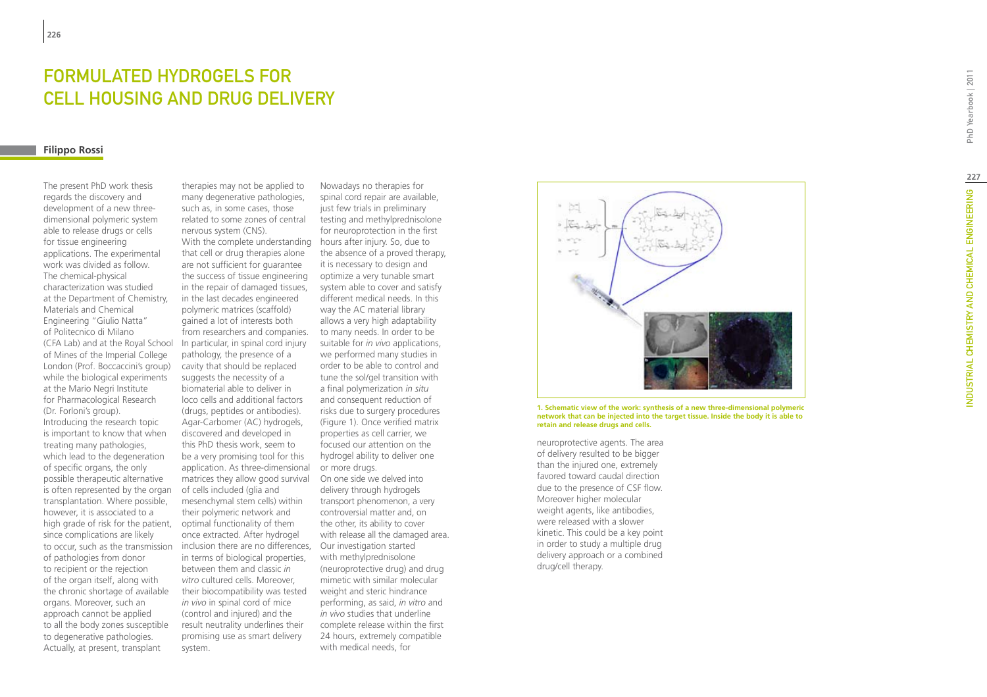# FORMULATED HYDROGELS FOR CELL HOUSING AND DRUG DELI VERY

### **Filippo Rossi**

The present PhD work thesis regards the discovery and development of a new threedimensional polymeric system able to release drugs or cells for tissue engineering applications. The experimental work was divided as follow. The chemical-physical characterization was studied at the Department of Chemistry, Materials and Chemical Engineering "Giulio Natta" of Politecnico di Milano (CFA Lab) and at the Royal School of Mines of the Imperial College London (Prof. Boccaccini's group) while the biological experiments at the Mario Negri Institute for Pharmacological Research (Dr. Forloni's group). Introducing the research topic is important to know that when treating many pathologies, which lead to the degeneration of specific organs, the only possible therapeutic alternative is often represented by the organ transplantation. Where possible, however, it is associated to a high grade of risk for the patient, since complications are likely to occur, such as the transmission of pathologies from donor to recipient or the rejection of the organ itself, along with the chronic shortage of available organs. Moreover, such an approach cannot be applied to all the body zones susceptible to degenerative pathologies. Actually, at present, transplant

therapies may not be applied to many degenerative pathologies, such as, in some cases, those related to some zones of central nervous system (CNS). With the complete understanding hours after injury. So, due to that cell or drug therapies alone are not sufficient for guarantee the success of tissue engineering in the repair of damaged tissues, in the last decades engineered polymeric matrices (scaffold) gained a lot of interests both from researchers and companies. In particular, in spinal cord injury pathology, the presence of a cavity that should be replaced suggests the necessity of a biomaterial able to deliver in loco cells and additional factors (drugs, peptides or antibodies). Agar-Carbomer (AC) hydrogels, discovered and developed in this PhD thesis work, seem to be a very promising tool for this application. As three-dimensional matrices they allow good survival of cells included (glia and mesenchymal stem cells) within their polymeric network and optimal functionality of them once extracted. After hydrogel inclusion there are no differences, Our investigation started in terms of biological properties, between them and classic *in vitro* cultured cells. Moreover, their biocompatibility was tested *in vivo* in spinal cord of mice (control and injured) and the result neutrality underlines their promising use as smart delivery system.

Nowadays no therapies for spinal cord repair are available, just few trials in preliminary testing and methylprednisolone for neuroprotection in the first the absence of a proved therapy, it is necessary to design and optimize a very tunable smart system able to cover and satisfy different medical needs. In this way the AC material library allows a very high adaptability to many needs. In order to be suitable for *in vivo* applications, we performed many studies in order to be able to control and tune the sol/gel transition with a final polymerization *in situ* and consequent reduction of risks due to surgery procedures (Figure 1). Once verified matrix properties as cell carrier, we focused our attention on the hydrogel ability to deliver one or more drugs. On one side we delved into delivery through hydrogels transport phenomenon, a very controversial matter and, on the other, its ability to cover with release all the damaged area. with methylprednisolone (neuroprotective drug) and drug mimetic with similar molecular weight and steric hindrance performing, as said, *in vitro* and *in vivo* studies that underline complete release within the first 24 hours, extremely compatible with medical needs, for



**1. Schematic view of the work: synthesis of a new three-dimensional polymeric network that can be injected into the target tissue. Inside the body it is able to retain and release drugs and cells.**

neuroprotective agents. The area of delivery resulted to be bigger than the injured one, extremely favored toward caudal direction due to the presence of CSF flow. Moreover higher molecular weight agents, like antibodies, were released with a slower kinetic. This could be a key point in order to study a multiple drug delivery approach or a combined drug/cell therapy.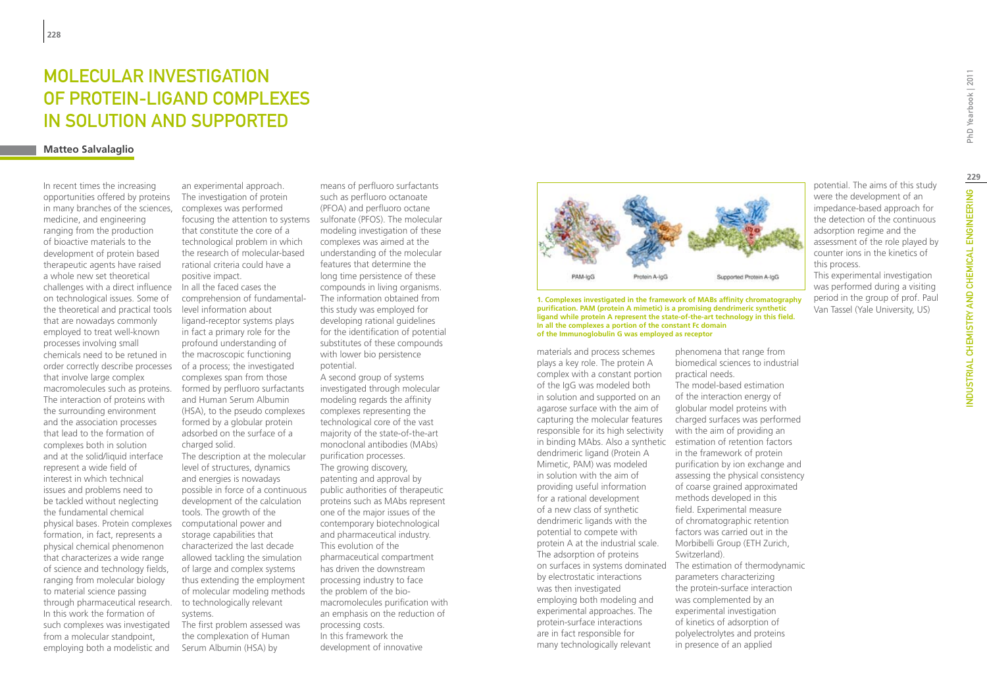# MOI FCUI AR INVESTIGATION of Protein-Ligand complexes in solution and supported

### **Matteo Salvalaglio**

In recent times the increasing opportunities offered by proteins in many branches of the sciences, medicine, and engineering ranging from the production of bioactive materials to the development of protein based therapeutic agents have raised a whole new set theoretical challenges with a direct influence on technological issues. Some of the theoretical and practical tools that are nowadays commonly employed to treat well-known processes involving small chemicals need to be retuned in order correctly describe processes that involve large complex macromolecules such as proteins. The interaction of proteins with the surrounding environment and the association processes that lead to the formation of complexes both in solution and at the solid/liquid interface represent a wide field of interest in which technical issues and problems need to be tackled without neglecting the fundamental chemical physical bases. Protein complexes formation, in fact, represents a physical chemical phenomenon that characterizes a wide range of science and technology fields, ranging from molecular biology to material science passing through pharmaceutical research. In this work the formation of such complexes was investigated from a molecular standpoint, employing both a modelistic and

an experimental approach. The investigation of protein complexes was performed focusing the attention to systems that constitute the core of a technological problem in which the research of molecular-based rational criteria could have a positive impact. In all the faced cases the comprehension of fundamentallevel information about ligand-receptor systems plays in fact a primary role for the profound understanding of the macroscopic functioning of a process; the investigated complexes span from those formed by perfluoro surfactants and Human Serum Albumin (HSA), to the pseudo complexes formed by a globular protein adsorbed on the surface of a charged solid. The description at the molecular

level of structures, dynamics and energies is nowadays possible in force of a continuous development of the calculation tools. The growth of the computational power and storage capabilities that characterized the last decade allowed tackling the simulation of large and complex systems thus extending the employment of molecular modeling methods to technologically relevant systems.

The first problem assessed was the complexation of Human Serum Albumin (HSA) by

means of perfluoro surfactants such as perfluoro octanoate (PFOA) and perfluoro octane sulfonate (PFOS). The molecular modeling investigation of these complexes was aimed at the understanding of the molecular features that determine the long time persistence of these compounds in living organisms. The information obtained from this study was employed for developing rational guidelines for the identification of potential substitutes of these compounds with lower bio persistence potential.

A second group of systems investigated through molecular modeling regards the affinity complexes representing the technological core of the vast majority of the state-of-the-art monoclonal antibodies (MAbs) purification processes. The growing discovery, patenting and approval by public authorities of therapeutic proteins such as MAbs represent one of the major issues of the contemporary biotechnological and pharmaceutical industry. This evolution of the pharmaceutical compartment has driven the downstream processing industry to face the problem of the biomacromolecules purification with an emphasis on the reduction of processing costs. In this framework the development of innovative



**purification. PAM (protein A mimetic) is a promising dendrimeric synthetic ligand while protein A represent the state-of-the-art technology in this field. In all the complexes a portion of the constant Fc domain of the Immunoglobulin G was employed as receptor**

materials and process schemes plays a key role. The protein A complex with a constant portion of the IgG was modeled both in solution and supported on an agarose surface with the aim of capturing the molecular features responsible for its high selectivity in binding MAbs. Also a synthetic estimation of retention factors dendrimeric ligand (Protein A Mimetic, PAM) was modeled in solution with the aim of providing useful information for a rational development of a new class of synthetic dendrimeric ligands with the potential to compete with protein A at the industrial scale. The adsorption of proteins by electrostatic interactions was then investigated employing both modeling and experimental approaches. The protein-surface interactions are in fact responsible for many technologically relevant

phenomena that range from biomedical sciences to industrial practical needs.

on surfaces in systems dominated The estimation of thermodynamic The model-based estimation of the interaction energy of globular model proteins with charged surfaces was performed with the aim of providing an in the framework of protein purification by ion exchange and assessing the physical consistency of coarse grained approximated methods developed in this field. Experimental measure of chromatographic retention factors was carried out in the Morbibelli Group (ETH Zurich, Switzerland). parameters characterizing the protein-surface interaction was complemented by an experimental investigation of kinetics of adsorption of polyelectrolytes and proteins in presence of an applied

potential. The aims of this study were the development of an impedance-based approach for the detection of the continuous adsorption regime and the assessment of the role played by counter ions in the kinetics of this process.

This experimental investigation was performed during a visiting period in the group of prof. Paul Van Tassel (Yale University, US)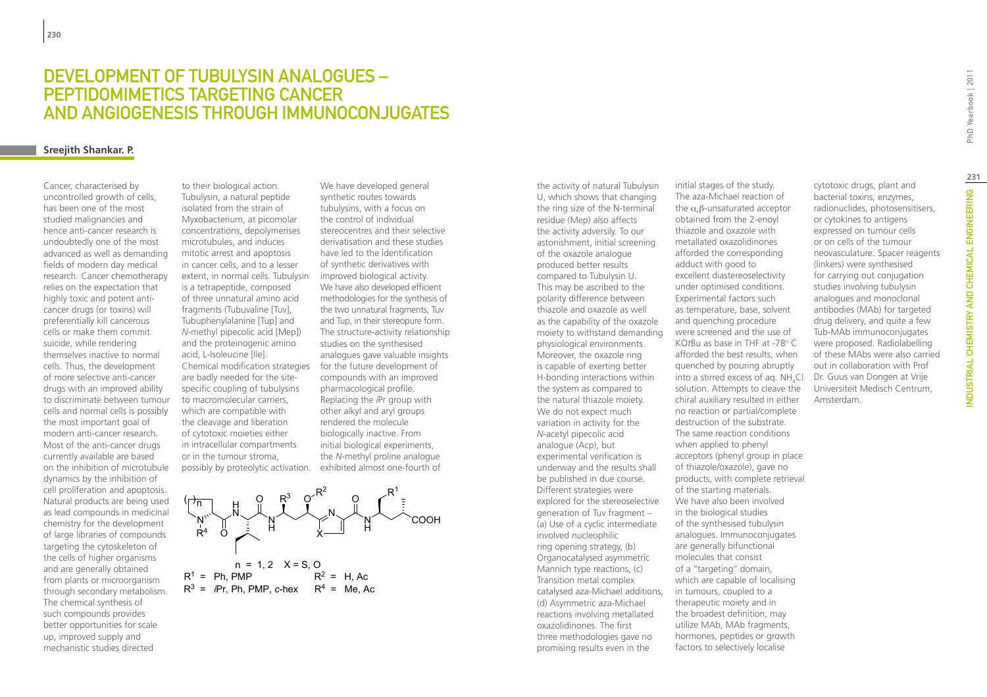### DEVELOPMENT OF TUBULYSIN ANALOGUES – PEPTIDOMIMETICS TARGETING CANCER AND ANGIOGENESIS THROUGH IMMUNOCONJUGATES

### **Sreejith Shankar. P.**

Cancer, characterised by uncontrolled growth of cells, has been one of the most studied malignancies and hence anti-cancer research is undoubtedly one of the most advanced as well as demanding fields of modern day medical research. Cancer chemotherapy relies on the expectation that highly toxic and potent anticancer drugs (or toxins) will preferentially kill cancerous cells or make them commit suicide, while rendering themselves inactive to normal cells. Thus, the development of more selective anti-cancer drugs with an improved ability to discriminate between tumour cells and normal cells is possibly the most important goal of modern anti-cancer research. Most of the anti-cancer drugs currently available are based on the inhibition of microtubule dynamics by the inhibition of cell proliferation and apoptosis. Natural products are being used as lead compounds in medicinal chemistry for the development of large libraries of compounds targeting the cytoskeleton of the cells of higher organisms and are generally obtained from plants or microorganism through secondary metabolism. The chemical synthesis of such compounds provides better opportunities for scale up, improved supply and mechanistic studies directed

to their biological action. Tubulysin, a natural peptide isolated from the strain of Myxobacterium, at picomolar concentrations, depolymerises microtubules, and induces mitotic arrest and apoptosis in cancer cells, and to a lesser extent, in normal cells. Tubulysin is a tetrapeptide, composed of three unnatural amino acid fragments (Tubuvaline [Tuv], Tubuphenylalanine [Tup] and *N*-methyl pipecolic acid [Mep]) and the proteinogenic amino acid, L-Isoleucine [Ile]. Chemical modification strategies for the future development of are badly needed for the sitespecific coupling of tubulysins to macromolecular carriers, which are compatible with the cleavage and liberation of cytotoxic moieties either in intracellular compartments or in the tumour stroma, possibly by proteolytic activation.

We have developed general synthetic routes towards tubulysins, with a focus on the control of individual stereocentres and their selective derivatisation and these studies have led to the identification of synthetic derivatives with improved biological activity. We have also developed efficient methodologies for the synthesis of the two unnatural fragments, Tuv and Tup, in their stereopure form. The structure-activity relationship studies on the synthesised analogues gave valuable insights compounds with an improved pharmacological profile. Replacing the *i*Pr group with other alkyl and aryl groups rendered the molecule biologically inactive. From initial biological experiments, the *N*-methyl proline analogue exhibited almost one-fourth of



the activity of natural Tubulysin U, which shows that changing the ring size of the N-terminal residue (Mep) also affects the activity adversily. To our astonishment, initial screening of the oxazole analogue produced better results compared to Tubulysin U. This may be ascribed to the polarity difference between thiazole and oxazole as well as the capability of the oxazole moiety to withstand demanding physiological environments. Moreover, the oxazole ring is capable of exerting better H-bonding interactions within the system as compared to the natural thiazole moiety. We do not expect much variation in activity for the *N*-acetyl pipecolic acid analogue (Acp), but experimental verification is underway and the results shall be published in due course. Different strategies were explored for the stereoselective generation of Tuv fragment – (a) Use of a cyclic intermediate involved nucleophilic ring opening strategy, (b) Organocatalysed asymmetric Mannich type reactions, (c) Transition metal complex catalysed aza-Michael additions, (d) Asymmetric aza-Michael reactions involving metallated oxazolidinones. The first three methodologies gave no promising results even in the

initial stages of the study. The aza-Michael reaction of the α,β-unsaturated acceptor obtained from the 2-enoyl thiazole and oxazole with metallated oxazolidinones afforded the corresponding adduct with good to excellent diastereoselectivity under optimised conditions. Experimental factors such as temperature, base, solvent and quenching procedure were screened and the use of KOtBu as base in THF at -78° C afforded the best results, when quenched by pouring abruptly into a stirred excess of aq.  $NH_4Cl$ solution. Attempts to cleave the chiral auxiliary resulted in either no reaction or partial/complete destruction of the substrate. The same reaction conditions when applied to phenyl acceptors (phenyl group in place of thiazole/oxazole), gave no products, with complete retrieval of the starting materials. We have also been involved in the biological studies of the synthesised tubulysin analogues. Immunoconjugates are generally bifunctional molecules that consist of a ''targeting'' domain, which are capable of localising in tumours, coupled to a therapeutic moiety and in the broadest definition, may utilize MAb, MAb fragments, hormones, peptides or growth factors to selectively localise

cytotoxic drugs, plant and bacterial toxins, enzymes, radionuclides, photosensitisers, or cytokines to antigens expressed on tumour cells or on cells of the tumour neovasculature. Spacer reagents (linkers) were synthesised for carrying out conjugation studies involving tubulysin analogues and monoclonal antibodies (MAb) for targeted drug delivery, and quite a few Tub-MAb immunoconjugates were proposed. Radiolabelling of these MAbs were also carried out in collaboration with Prof Dr. Guus van Dongen at Vrije Universiteit Medisch Centrum, Amsterdam.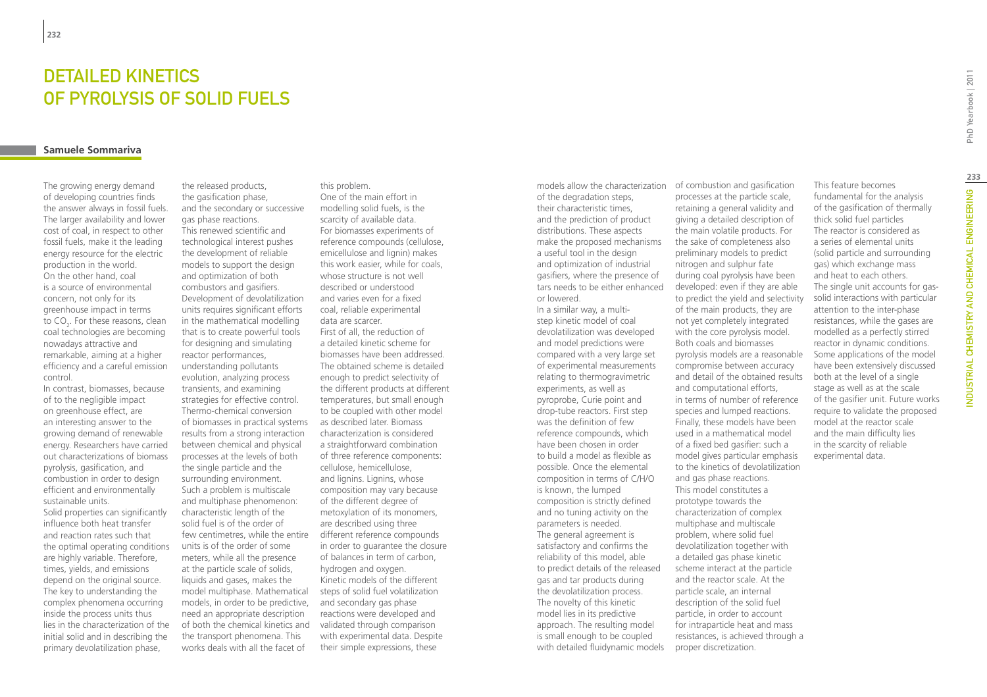# DETAILED KINETICS of pyrolysis of solid fuels

### **Samuele Sommariva**

The growing energy demand of developing countries finds the answer always in fossil fuels. The larger availability and lower cost of coal, in respect to other fossil fuels, make it the leading energy resource for the electric production in the world. On the other hand, coal is a source of environmental concern, not only for its greenhouse impact in terms to CO<sub>2</sub>. For these reasons, clean coal technologies are becoming nowadays attractive and remarkable, aiming at a higher efficiency and a careful emission control.

In contrast, biomasses, because of to the negligible impact on greenhouse effect, are an interesting answer to the growing demand of renewable energy. Researchers have carried out characterizations of biomass pyrolysis, gasification, and combustion in order to design efficient and environmentally sustainable units.

Solid properties can significantly influence both heat transfer and reaction rates such that the optimal operating conditions are highly variable. Therefore, times, yields, and emissions depend on the original source. The key to understanding the complex phenomena occurring inside the process units thus lies in the characterization of the initial solid and in describing the primary devolatilization phase,

the released products, the gasification phase, and the secondary or successive gas phase reactions. This renewed scientific and technological interest pushes the development of reliable models to support the design and optimization of both combustors and gasifiers. Development of devolatilization units requires significant efforts in the mathematical modelling that is to create powerful tools for designing and simulating reactor performances, understanding pollutants evolution, analyzing process transients, and examining strategies for effective control. Thermo-chemical conversion of biomasses in practical systems results from a strong interaction between chemical and physical processes at the levels of both the single particle and the surrounding environment. Such a problem is multiscale and multiphase phenomenon: characteristic length of the solid fuel is of the order of few centimetres, while the entire different reference compounds units is of the order of some meters, while all the presence at the particle scale of solids, liquids and gases, makes the model multiphase. Mathematical models, in order to be predictive, need an appropriate description of both the chemical kinetics and the transport phenomena. This works deals with all the facet of

this problem. One of the main effort in modelling solid fuels, is the scarcity of available data. For biomasses experiments of reference compounds (cellulose, emicellulose and lignin) makes this work easier, while for coals, whose structure is not well described or understood and varies even for a fixed coal, reliable experimental data are scarcer. First of all, the reduction of a detailed kinetic scheme for biomasses have been addressed. The obtained scheme is detailed enough to predict selectivity of the different products at different temperatures, but small enough to be coupled with other model as described later. Biomass characterization is considered a straightforward combination of three reference components: cellulose, hemicellulose, and lignins. Lignins, whose composition may vary because of the different degree of metoxylation of its monomers, are described using three in order to guarantee the closure of balances in term of carbon, hydrogen and oxygen. Kinetic models of the different steps of solid fuel volatilization and secondary gas phase reactions were developed and validated through comparison with experimental data. Despite their simple expressions, these

models allow the characterization of combustion and gasification of the degradation steps, their characteristic times, and the prediction of product distributions. These aspects make the proposed mechanisms a useful tool in the design and optimization of industrial gasifiers, where the presence of tars needs to be either enhanced or lowered. In a similar way, a multistep kinetic model of coal devolatilization was developed and model predictions were compared with a very large set of experimental measurements relating to thermogravimetric experiments, as well as pyroprobe, Curie point and drop-tube reactors. First step was the definition of few reference compounds, which have been chosen in order to build a model as flexible as possible. Once the elemental composition in terms of C/H/O is known, the lumped

composition is strictly defined and no tuning activity on the parameters is needed. The general agreement is satisfactory and confirms the reliability of this model, able to predict details of the released gas and tar products during the devolatilization process. The novelty of this kinetic model lies in its predictive approach. The resulting model is small enough to be coupled with detailed fluidynamic models

retaining a general validity and giving a detailed description of the main volatile products. For the sake of completeness also preliminary models to predict nitrogen and sulphur fate during coal pyrolysis have been developed: even if they are able to predict the yield and selectivity of the main products, they are not yet completely integrated with the core pyrolysis model. Both coals and biomasses pyrolysis models are a reasonable compromise between accuracy and detail of the obtained results and computational efforts, in terms of number of reference species and lumped reactions. Finally, these models have been used in a mathematical model of a fixed bed gasifier: such a model gives particular emphasis to the kinetics of devolatilization and gas phase reactions. This model constitutes a prototype towards the characterization of complex multiphase and multiscale problem, where solid fuel devolatilization together with a detailed gas phase kinetic scheme interact at the particle and the reactor scale. At the particle scale, an internal description of the solid fuel particle, in order to account for intraparticle heat and mass resistances, is achieved through a proper discretization.

processes at the particle scale,

This feature becomes fundamental for the analysis of the gasification of thermally thick solid fuel particles The reactor is considered as a series of elemental units (solid particle and surrounding gas) which exchange mass and heat to each others. The single unit accounts for gassolid interactions with particular attention to the inter-phase resistances, while the gases are modelled as a perfectly stirred reactor in dynamic conditions. Some applications of the model have been extensively discussed both at the level of a single stage as well as at the scale of the gasifier unit. Future works require to validate the proposed model at the reactor scale and the main difficulty lies in the scarcity of reliable experimental data.